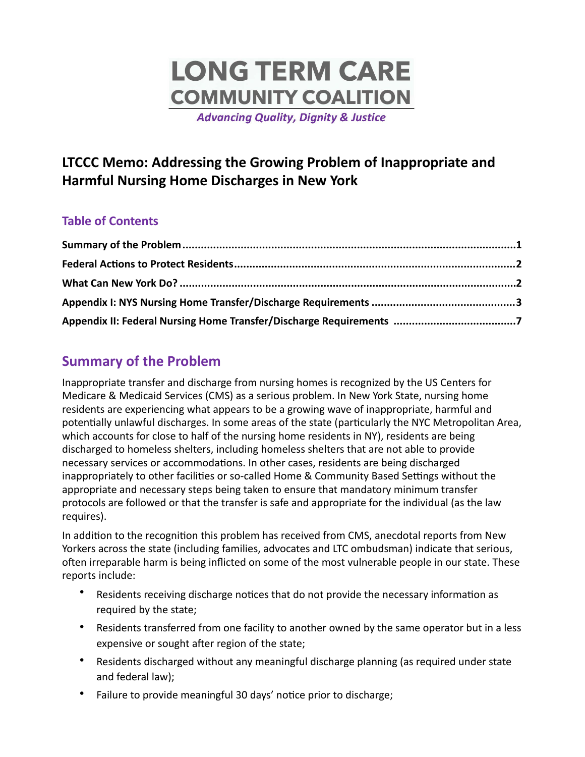# **LONG TERM CARE COMMUNITY COALITION**

**Advancing Quality, Dignity & Justice** 

# **LTCCC Memo: Addressing the Growing Problem of Inappropriate and Harmful Nursing Home Discharges in New York**

## **Table of Contents**

# <span id="page-0-0"></span>**Summary of the Problem**

Inappropriate transfer and discharge from nursing homes is recognized by the US Centers for Medicare & Medicaid Services (CMS) as a serious problem. In New York State, nursing home residents are experiencing what appears to be a growing wave of inappropriate, harmful and potentially unlawful discharges. In some areas of the state (particularly the NYC Metropolitan Area, which accounts for close to half of the nursing home residents in NY), residents are being discharged to homeless shelters, including homeless shelters that are not able to provide necessary services or accommodations. In other cases, residents are being discharged inappropriately to other facilities or so-called Home & Community Based Settings without the appropriate and necessary steps being taken to ensure that mandatory minimum transfer protocols are followed or that the transfer is safe and appropriate for the individual (as the law requires). 

In addition to the recognition this problem has received from CMS, anecdotal reports from New Yorkers across the state (including families, advocates and LTC ombudsman) indicate that serious, often irreparable harm is being inflicted on some of the most vulnerable people in our state. These reports include:

- Residents receiving discharge notices that do not provide the necessary information as required by the state;
- Residents transferred from one facility to another owned by the same operator but in a less expensive or sought after region of the state;
- Residents discharged without any meaningful discharge planning (as required under state and federal law);
- Failure to provide meaningful 30 days' notice prior to discharge;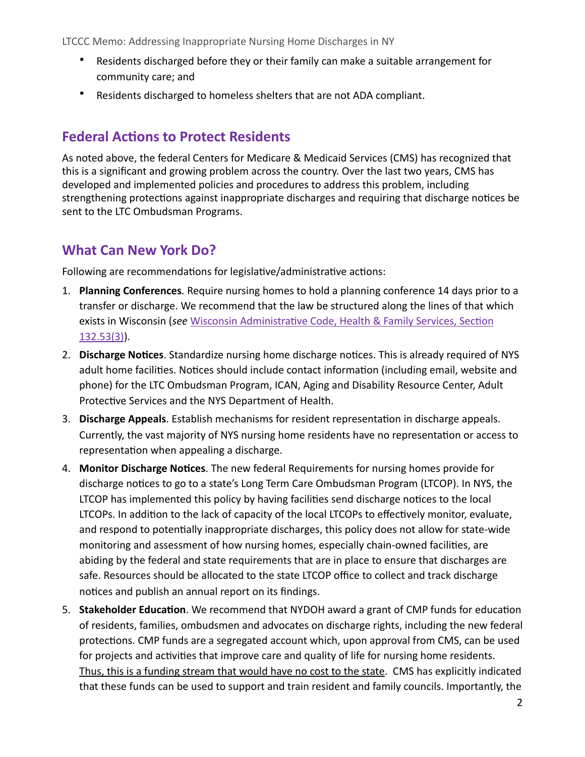- Residents discharged before they or their family can make a suitable arrangement for community care; and
- Residents discharged to homeless shelters that are not ADA compliant.

## <span id="page-1-0"></span>**Federal Actions to Protect Residents**

As noted above, the federal Centers for Medicare & Medicaid Services (CMS) has recognized that this is a significant and growing problem across the country. Over the last two years, CMS has developed and implemented policies and procedures to address this problem, including strengthening protections against inappropriate discharges and requiring that discharge notices be sent to the LTC Ombudsman Programs.

## <span id="page-1-1"></span>**What Can New York Do?**

Following are recommendations for legislative/administrative actions:

- 1. Planning Conferences. Require nursing homes to hold a planning conference 14 days prior to a transfer or discharge. We recommend that the law be structured along the lines of that which exists in Wisconsin (see Wisconsin Administrative Code, Health & Family Services, Section [132.53\(3\)\)](https://docs.legis.wisconsin.gov/code/admin_code/dhs/110/132/V/53).
- 2. **Discharge Notices**. Standardize nursing home discharge notices. This is already required of NYS adult home facilities. Notices should include contact information (including email, website and phone) for the LTC Ombudsman Program, ICAN, Aging and Disability Resource Center, Adult Protective Services and the NYS Department of Health.
- 3. **Discharge Appeals**. Establish mechanisms for resident representation in discharge appeals. Currently, the vast majority of NYS nursing home residents have no representation or access to representation when appealing a discharge.
- 4. **Monitor Discharge Notices**. The new federal Requirements for nursing homes provide for discharge notices to go to a state's Long Term Care Ombudsman Program (LTCOP). In NYS, the LTCOP has implemented this policy by having facilities send discharge notices to the local LTCOPs. In addition to the lack of capacity of the local LTCOPs to effectively monitor, evaluate, and respond to potentially inappropriate discharges, this policy does not allow for state-wide monitoring and assessment of how nursing homes, especially chain-owned facilities, are abiding by the federal and state requirements that are in place to ensure that discharges are safe. Resources should be allocated to the state LTCOP office to collect and track discharge notices and publish an annual report on its findings.
- 5. Stakeholder Education. We recommend that NYDOH award a grant of CMP funds for education of residents, families, ombudsmen and advocates on discharge rights, including the new federal protections. CMP funds are a segregated account which, upon approval from CMS, can be used for projects and activities that improve care and quality of life for nursing home residents. Thus, this is a funding stream that would have no cost to the state. CMS has explicitly indicated that these funds can be used to support and train resident and family councils. Importantly, the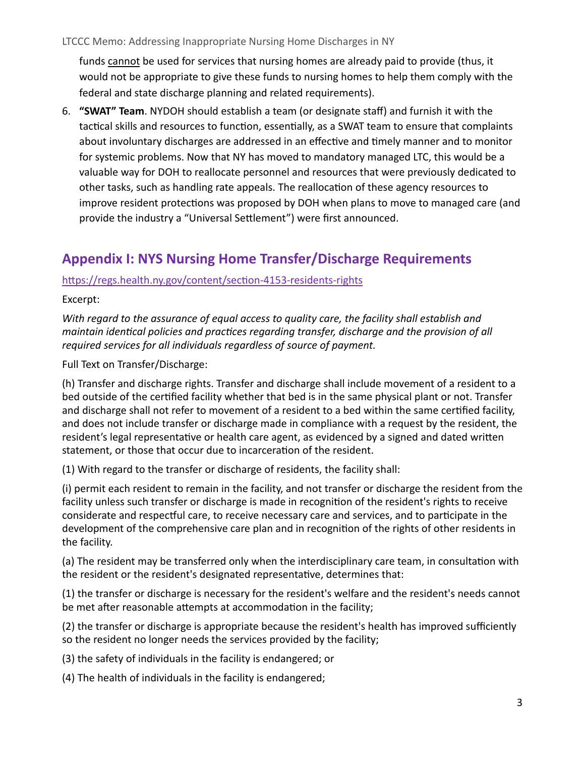funds cannot be used for services that nursing homes are already paid to provide (thus, it would not be appropriate to give these funds to nursing homes to help them comply with the federal and state discharge planning and related requirements).

6. **"SWAT" Team**. NYDOH should establish a team (or designate staff) and furnish it with the tactical skills and resources to function, essentially, as a SWAT team to ensure that complaints about involuntary discharges are addressed in an effective and timely manner and to monitor for systemic problems. Now that NY has moved to mandatory managed LTC, this would be a valuable way for DOH to reallocate personnel and resources that were previously dedicated to other tasks, such as handling rate appeals. The reallocation of these agency resources to improve resident protections was proposed by DOH when plans to move to managed care (and provide the industry a "Universal Settlement") were first announced.

# <span id="page-2-0"></span>**Appendix I: NYS Nursing Home Transfer/Discharge Requirements**

## https://regs.health.ny.gov/content/section-4153-residents-rights

#### Excerpt:

*With* regard to the assurance of equal access to quality care, the facility shall establish and *maintain identical policies and practices regarding transfer, discharge and the provision of all* required services for all individuals regardless of source of payment.

Full Text on Transfer/Discharge:

(h) Transfer and discharge rights. Transfer and discharge shall include movement of a resident to a bed outside of the certified facility whether that bed is in the same physical plant or not. Transfer and discharge shall not refer to movement of a resident to a bed within the same certified facility, and does not include transfer or discharge made in compliance with a request by the resident, the resident's legal representative or health care agent, as evidenced by a signed and dated written statement, or those that occur due to incarceration of the resident.

(1) With regard to the transfer or discharge of residents, the facility shall:

(i) permit each resident to remain in the facility, and not transfer or discharge the resident from the facility unless such transfer or discharge is made in recognition of the resident's rights to receive considerate and respectful care, to receive necessary care and services, and to participate in the development of the comprehensive care plan and in recognition of the rights of other residents in the facility.

(a) The resident may be transferred only when the interdisciplinary care team, in consultation with the resident or the resident's designated representative, determines that:

(1) the transfer or discharge is necessary for the resident's welfare and the resident's needs cannot be met after reasonable attempts at accommodation in the facility;

(2) the transfer or discharge is appropriate because the resident's health has improved sufficiently so the resident no longer needs the services provided by the facility;

(3) the safety of individuals in the facility is endangered; or

(4) The health of individuals in the facility is endangered;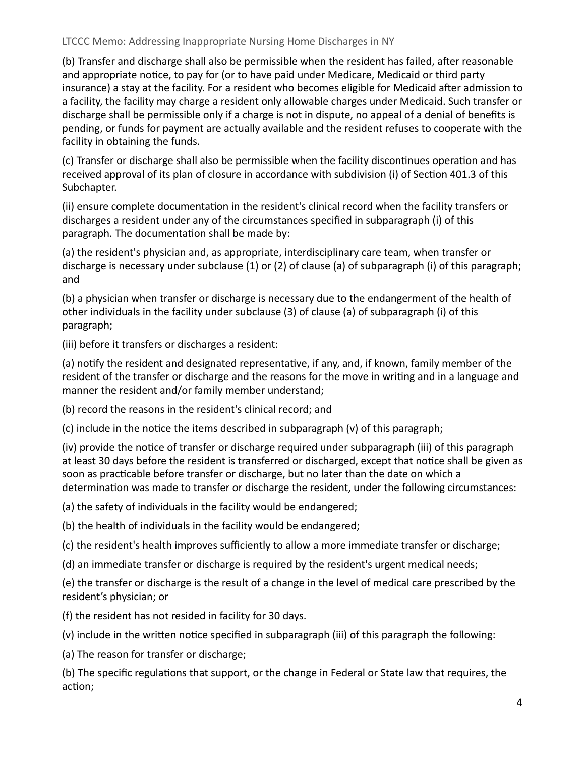(b) Transfer and discharge shall also be permissible when the resident has failed, after reasonable and appropriate notice, to pay for (or to have paid under Medicare, Medicaid or third party insurance) a stay at the facility. For a resident who becomes eligible for Medicaid after admission to a facility, the facility may charge a resident only allowable charges under Medicaid. Such transfer or discharge shall be permissible only if a charge is not in dispute, no appeal of a denial of benefits is pending, or funds for payment are actually available and the resident refuses to cooperate with the facility in obtaining the funds.

(c) Transfer or discharge shall also be permissible when the facility discontinues operation and has received approval of its plan of closure in accordance with subdivision (i) of Section 401.3 of this Subchapter. 

(ii) ensure complete documentation in the resident's clinical record when the facility transfers or discharges a resident under any of the circumstances specified in subparagraph (i) of this paragraph. The documentation shall be made by:

(a) the resident's physician and, as appropriate, interdisciplinary care team, when transfer or discharge is necessary under subclause  $(1)$  or  $(2)$  of clause  $(a)$  of subparagraph  $(i)$  of this paragraph; and 

(b) a physician when transfer or discharge is necessary due to the endangerment of the health of other individuals in the facility under subclause (3) of clause (a) of subparagraph (i) of this paragraph; 

(iii) before it transfers or discharges a resident:

(a) notify the resident and designated representative, if any, and, if known, family member of the resident of the transfer or discharge and the reasons for the move in writing and in a language and manner the resident and/or family member understand;

(b) record the reasons in the resident's clinical record; and

(c) include in the notice the items described in subparagraph  $(v)$  of this paragraph;

(iv) provide the notice of transfer or discharge required under subparagraph (iii) of this paragraph at least 30 days before the resident is transferred or discharged, except that notice shall be given as soon as practicable before transfer or discharge, but no later than the date on which a determination was made to transfer or discharge the resident, under the following circumstances:

(a) the safety of individuals in the facility would be endangered;

(b) the health of individuals in the facility would be endangered;

(c) the resident's health improves sufficiently to allow a more immediate transfer or discharge;

(d) an immediate transfer or discharge is required by the resident's urgent medical needs;

(e) the transfer or discharge is the result of a change in the level of medical care prescribed by the resident's physician; or

(f) the resident has not resided in facility for 30 days.

(v) include in the written notice specified in subparagraph (iii) of this paragraph the following:

(a) The reason for transfer or discharge;

(b) The specific regulations that support, or the change in Federal or State law that requires, the action;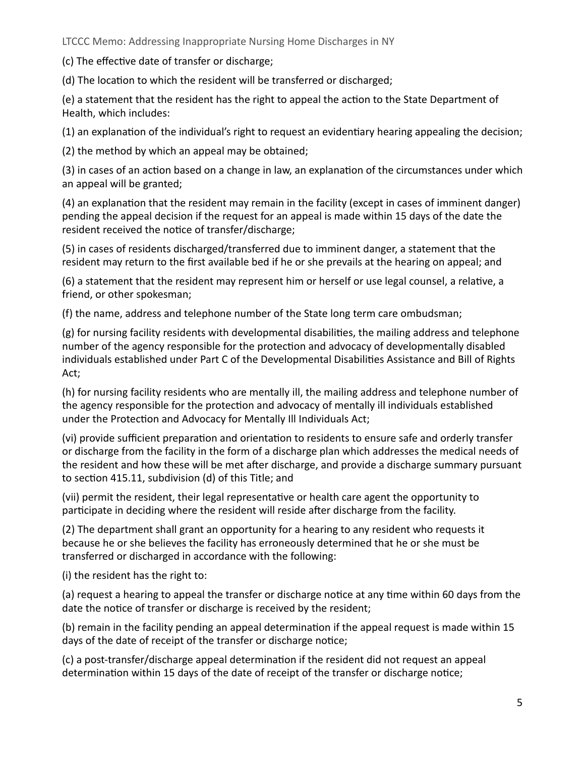(c) The effective date of transfer or discharge;

(d) The location to which the resident will be transferred or discharged;

(e) a statement that the resident has the right to appeal the action to the State Department of Health, which includes:

(1) an explanation of the individual's right to request an evidentiary hearing appealing the decision;

(2) the method by which an appeal may be obtained;

(3) in cases of an action based on a change in law, an explanation of the circumstances under which an appeal will be granted;

(4) an explanation that the resident may remain in the facility (except in cases of imminent danger) pending the appeal decision if the request for an appeal is made within 15 days of the date the resident received the notice of transfer/discharge;

(5) in cases of residents discharged/transferred due to imminent danger, a statement that the resident may return to the first available bed if he or she prevails at the hearing on appeal; and

(6) a statement that the resident may represent him or herself or use legal counsel, a relative, a friend, or other spokesman;

(f) the name, address and telephone number of the State long term care ombudsman;

 $(g)$  for nursing facility residents with developmental disabilities, the mailing address and telephone number of the agency responsible for the protection and advocacy of developmentally disabled individuals established under Part C of the Developmental Disabilities Assistance and Bill of Rights Act; 

(h) for nursing facility residents who are mentally ill, the mailing address and telephone number of the agency responsible for the protection and advocacy of mentally ill individuals established under the Protection and Advocacy for Mentally Ill Individuals Act;

(vi) provide sufficient preparation and orientation to residents to ensure safe and orderly transfer or discharge from the facility in the form of a discharge plan which addresses the medical needs of the resident and how these will be met after discharge, and provide a discharge summary pursuant to section 415.11, subdivision (d) of this Title; and

(vii) permit the resident, their legal representative or health care agent the opportunity to participate in deciding where the resident will reside after discharge from the facility.

(2) The department shall grant an opportunity for a hearing to any resident who requests it because he or she believes the facility has erroneously determined that he or she must be transferred or discharged in accordance with the following:

(i) the resident has the right to:

(a) request a hearing to appeal the transfer or discharge notice at any time within 60 days from the date the notice of transfer or discharge is received by the resident;

(b) remain in the facility pending an appeal determination if the appeal request is made within 15 days of the date of receipt of the transfer or discharge notice;

(c) a post-transfer/discharge appeal determination if the resident did not request an appeal determination within 15 days of the date of receipt of the transfer or discharge notice;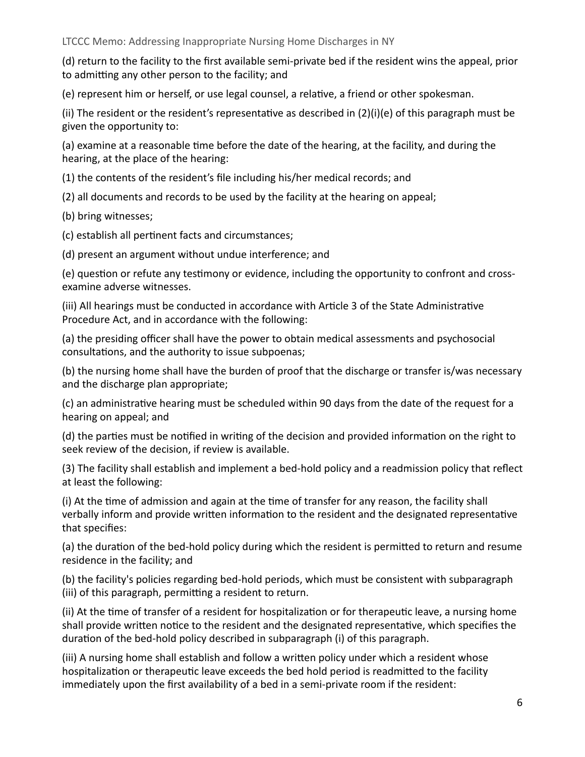(d) return to the facility to the first available semi-private bed if the resident wins the appeal, prior to admitting any other person to the facility; and

(e) represent him or herself, or use legal counsel, a relative, a friend or other spokesman.

(ii) The resident or the resident's representative as described in  $(2)(i)(e)$  of this paragraph must be given the opportunity to:

(a) examine at a reasonable time before the date of the hearing, at the facility, and during the hearing, at the place of the hearing:

(1) the contents of the resident's file including his/her medical records; and

(2) all documents and records to be used by the facility at the hearing on appeal;

(b) bring witnesses;

(c) establish all pertinent facts and circumstances;

(d) present an argument without undue interference; and

(e) question or refute any testimony or evidence, including the opportunity to confront and crossexamine adverse witnesses.

(iii) All hearings must be conducted in accordance with Article 3 of the State Administrative Procedure Act, and in accordance with the following:

(a) the presiding officer shall have the power to obtain medical assessments and psychosocial consultations, and the authority to issue subpoenas;

(b) the nursing home shall have the burden of proof that the discharge or transfer is/was necessary and the discharge plan appropriate;

(c) an administrative hearing must be scheduled within 90 days from the date of the request for a hearing on appeal; and

(d) the parties must be notified in writing of the decision and provided information on the right to seek review of the decision, if review is available.

(3) The facility shall establish and implement a bed-hold policy and a readmission policy that reflect at least the following:

(i) At the time of admission and again at the time of transfer for any reason, the facility shall verbally inform and provide written information to the resident and the designated representative that specifies:

(a) the duration of the bed-hold policy during which the resident is permitted to return and resume residence in the facility; and

(b) the facility's policies regarding bed-hold periods, which must be consistent with subparagraph (iii) of this paragraph, permitting a resident to return.

(ii) At the time of transfer of a resident for hospitalization or for therapeutic leave, a nursing home shall provide written notice to the resident and the designated representative, which specifies the duration of the bed-hold policy described in subparagraph (i) of this paragraph.

(iii) A nursing home shall establish and follow a written policy under which a resident whose hospitalization or therapeutic leave exceeds the bed hold period is readmitted to the facility immediately upon the first availability of a bed in a semi-private room if the resident: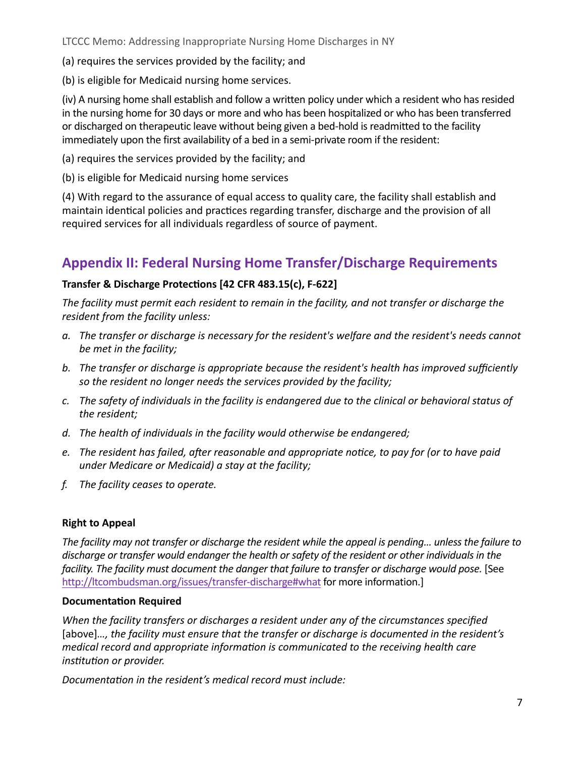(a) requires the services provided by the facility; and

(b) is eligible for Medicaid nursing home services.

(iv) A nursing home shall establish and follow a written policy under which a resident who has resided in the nursing home for 30 days or more and who has been hospitalized or who has been transferred or discharged on therapeutic leave without being given a bed-hold is readmitted to the facility immediately upon the first availability of a bed in a semi-private room if the resident:

(a) requires the services provided by the facility; and

(b) is eligible for Medicaid nursing home services

(4) With regard to the assurance of equal access to quality care, the facility shall establish and maintain identical policies and practices regarding transfer, discharge and the provision of all required services for all individuals regardless of source of payment.

# <span id="page-6-0"></span>**Appendix II: Federal Nursing Home Transfer/Discharge Requirements**

## Transfer & Discharge Protections [42 CFR 483.15(c), F-622]

The facility must permit each resident to remain in the facility, and not transfer or discharge the *resident from the facility unless:* 

- a. The transfer or discharge is necessary for the resident's welfare and the resident's needs cannot *be met in the facility;*
- b. The transfer or discharge is appropriate because the resident's health has improved sufficiently so the resident no longer needs the services provided by the facility;
- c. The safety of individuals in the facility is endangered due to the clinical or behavioral status of the resident;
- d. The health of individuals in the facility would otherwise be endangered;
- *e.* The resident has failed, after reasonable and appropriate notice, to pay for (or to have paid *under Medicare or Medicaid)* a stay at the facility;
- *f.* The facility ceases to operate.

## **Right to Appeal**

*The facility* may not transfer or discharge the resident while the appeal is pending... unless the failure to discharge or transfer would endanger the health or safety of the resident or other individuals in the *facility.* The *facility must document the danger that failure to transfer or discharge would pose.* [See <http://ltcombudsman.org/issues/transfer-discharge#what> for more information.]

## **Documentation Required**

*When* the facility transfers or discharges a resident under any of the circumstances specified [above]…, the facility must ensure that the transfer or discharge is documented in the resident's *medical record and appropriate information is communicated to the receiving health care institution or provider.* 

*Documentation in the resident's medical record must include:*